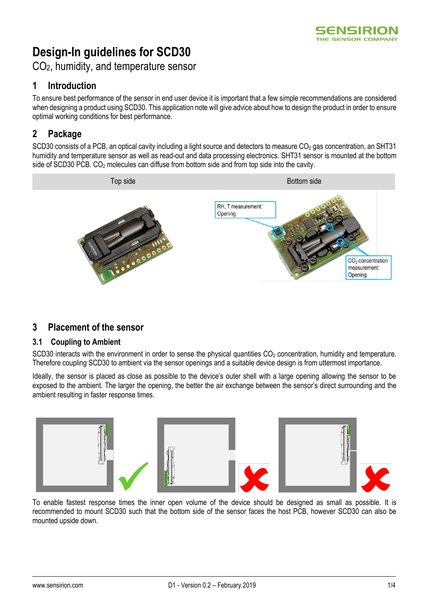# **Design-In guidelines for SCD30**

CO2, humidity, and temperature sensor

# **1 Introduction**

To ensure best performance of the sensor in end user device it is important that a few simple recommendations are considered when designing a product using SCD30. This application note will give advice about how to design the product in order to ensure optimal working conditions for best performance.

# **2 Package**

SCD30 consists of a PCB, an optical cavity including a light source and detectors to measure  $CO<sub>2</sub>$  gas concentration, an SHT31 humidity and temperature sensor as well as read-out and data processing electronics. SHT31 sensor is mounted at the bottom side of SCD30 PCB. CO<sub>2</sub> molecules can diffuse from bottom side and from top side into the cavity.



## **3 Placement of the sensor**

#### **3.1 Coupling to Ambient**

SCD30 interacts with the environment in order to sense the physical quantities  $CO<sub>2</sub>$  concentration, humidity and temperature. Therefore coupling SCD30 to ambient via the sensor openings and a suitable device design is from uttermost importance.

Ideally, the sensor is placed as close as possible to the device's outer shell with a large opening allowing the sensor to be exposed to the ambient. The larger the opening, the better the air exchange between the sensor's direct surrounding and the ambient resulting in faster response times.



To enable fastest response times the inner open volume of the device should be designed as small as possible. It is recommended to mount SCD30 such that the bottom side of the sensor faces the host PCB, however SCD30 can also be mounted upside down.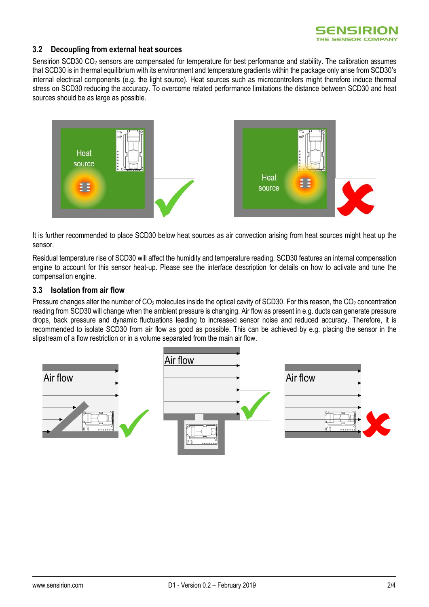

#### **3.2 Decoupling from external heat sources**

Sensirion SCD30 CO<sub>2</sub> sensors are compensated for temperature for best performance and stability. The calibration assumes that SCD30 is in thermal equilibrium with its environment and temperature gradients within the package only arise from SCD30's internal electrical components (e.g. the light source). Heat sources such as microcontrollers might therefore induce thermal stress on SCD30 reducing the accuracy. To overcome related performance limitations the distance between SCD30 and heat sources should be as large as possible.



It is further recommended to place SCD30 below heat sources as air convection arising from heat sources might heat up the sensor.

Residual temperature rise of SCD30 will affect the humidity and temperature reading. SCD30 features an internal compensation engine to account for this sensor heat-up. Please see the interface description for details on how to activate and tune the compensation engine.

#### **3.3 Isolation from air flow**

Pressure changes alter the number of  $CO<sub>2</sub>$  molecules inside the optical cavity of SCD30. For this reason, the  $CO<sub>2</sub>$  concentration reading from SCD30 will change when the ambient pressure is changing. Air flow as present in e.g. ducts can generate pressure drops, back pressure and dynamic fluctuations leading to increased sensor noise and reduced accuracy. Therefore, it is recommended to isolate SCD30 from air flow as good as possible. This can be achieved by e.g. placing the sensor in the slipstream of a flow restriction or in a volume separated from the main air flow.

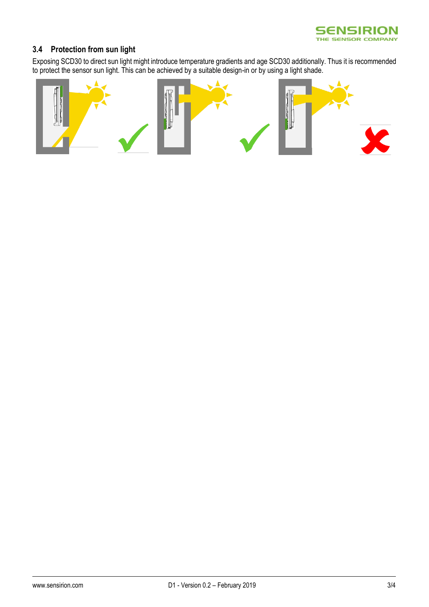

### **3.4 Protection from sun light**

Exposing SCD30 to direct sun light might introduce temperature gradients and age SCD30 additionally. Thus it is recommended to protect the sensor sun light. This can be achieved by a suitable design-in or by using a light shade.